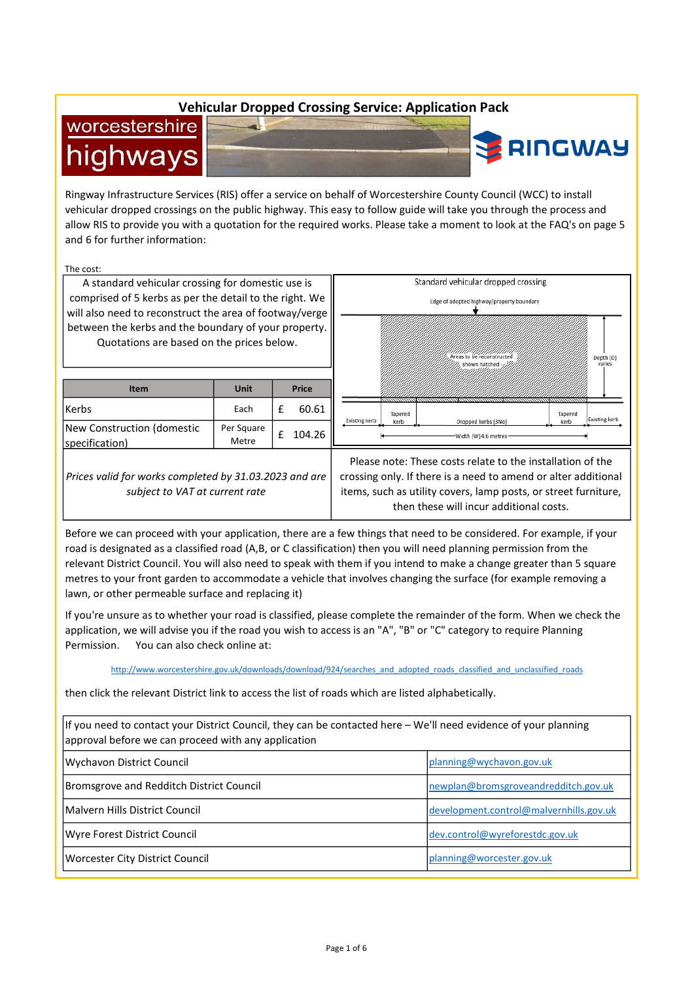# Vehicular Dropped Crossing Service: Application Pack

# worcestershire highways



Ringway Infrastructure Services (RIS) offer a service on behalf of Worcestershire County Council (WCC) to install vehicular dropped crossings on the public highway. This easy to follow guide will take you through the process and allow RIS to provide you with a quotation for the required works. Please take a moment to look at the FAQ's on page 5 and 6 for further information:

The cost:

A standard vehicular crossing for domestic use is comprised of 5 kerbs as per the detail to the right. We will also need to reconstruct the area of footway/verge between the kerbs and the boundary of your property. Quotations are based on the prices below.

| <b>Item</b>                                                                              | Unit                |   | <b>Price</b> |
|------------------------------------------------------------------------------------------|---------------------|---|--------------|
| Kerbs                                                                                    | Each                | £ | 60.61        |
| New Construction (domestic<br>specification)                                             | Per Square<br>Metre | f | 104.26       |
| Prices valid for works completed by 31.03.2023 and are<br>subject to VAT at current rate |                     |   |              |



Please note: These costs relate to the installation of the crossing only. If there is a need to amend or alter additional items, such as utility covers, lamp posts, or street furniture, then these will incur additional costs.

Before we can proceed with your application, there are a few things that need to be considered. For example, if your road is designated as a classified road (A,B, or C classification) then you will need planning permission from the relevant District Council. You will also need to speak with them if you intend to make a change greater than 5 square metres to your front garden to accommodate a vehicle that involves changing the surface (for example removing a lawn, or other permeable surface and replacing it)

If you're unsure as to whether your road is classified, please complete the remainder of the form. When we check the application, we will advise you if the road you wish to access is an "A", "B" or "C" category to require Planning Permission. You can also check online at:

http://www.worcestershire.gov.uk/downloads/download/924/searches\_and\_adopted\_roads\_classified\_and\_unclassified\_roads

then click the relevant District link to access the list of roads which are listed alphabetically.

| If you need to contact your District Council, they can be contacted here – We'll need evidence of your planning<br>approval before we can proceed with any application |                                         |  |
|------------------------------------------------------------------------------------------------------------------------------------------------------------------------|-----------------------------------------|--|
| Wychavon District Council                                                                                                                                              | planning@wychavon.gov.uk                |  |
| Bromsgrove and Redditch District Council                                                                                                                               | newplan@bromsgroveandredditch.gov.uk    |  |
| Malvern Hills District Council                                                                                                                                         | development.control@malvernhills.gov.uk |  |
| Wyre Forest District Council                                                                                                                                           | dev.control@wyreforestdc.gov.uk         |  |
| Worcester City District Council                                                                                                                                        | planning@worcester.gov.uk               |  |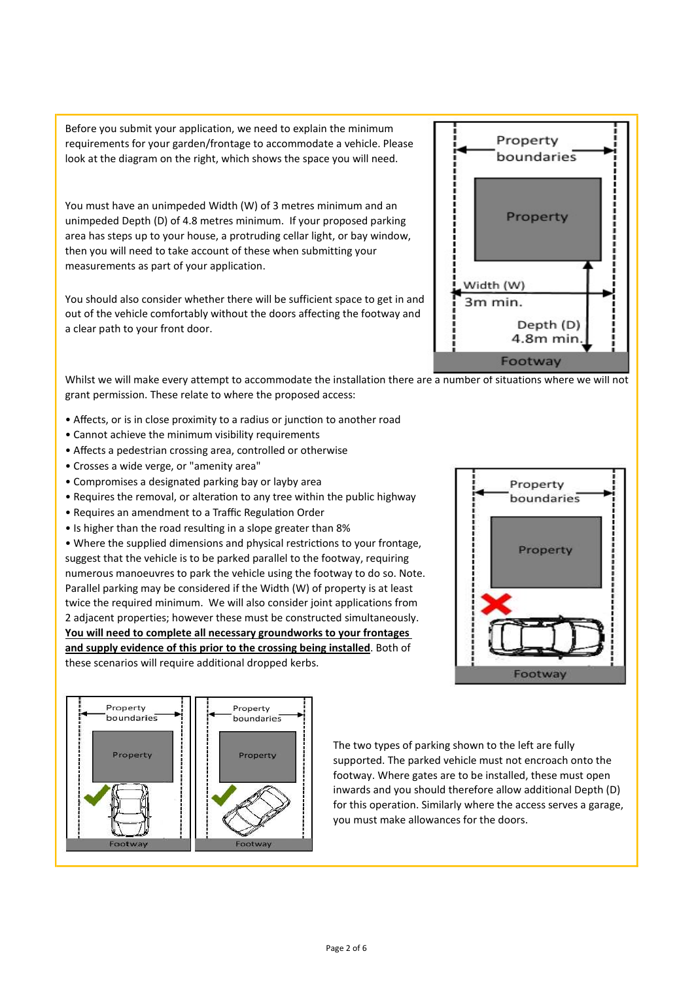Before you submit your application, we need to explain the minimum requirements for your garden/frontage to accommodate a vehicle. Please look at the diagram on the right, which shows the space you will need.

You must have an unimpeded Width (W) of 3 metres minimum and an unimpeded Depth (D) of 4.8 metres minimum. If your proposed parking area has steps up to your house, a protruding cellar light, or bay window, then you will need to take account of these when submitting your measurements as part of your application.

You should also consider whether there will be sufficient space to get in and out of the vehicle comfortably without the doors affecting the footway and a clear path to your front door.



Whilst we will make every attempt to accommodate the installation there are a number of situations where we will not grant permission. These relate to where the proposed access:

- Affects, or is in close proximity to a radius or junction to another road
- Cannot achieve the minimum visibility requirements
- Affects a pedestrian crossing area, controlled or otherwise
- Crosses a wide verge, or "amenity area"
- Compromises a designated parking bay or layby area
- Requires the removal, or alteration to any tree within the public highway
- Requires an amendment to a Traffic Regulation Order
- Is higher than the road resulting in a slope greater than 8%

• Where the supplied dimensions and physical restrictions to your frontage, suggest that the vehicle is to be parked parallel to the footway, requiring numerous manoeuvres to park the vehicle using the footway to do so. Note. Parallel parking may be considered if the Width (W) of property is at least twice the required minimum. We will also consider joint applications from 2 adjacent properties; however these must be constructed simultaneously. You will need to complete all necessary groundworks to your frontages and supply evidence of this prior to the crossing being installed. Both of these scenarios will require additional dropped kerbs.





The two types of parking shown to the left are fully supported. The parked vehicle must not encroach onto the footway. Where gates are to be installed, these must open inwards and you should therefore allow additional Depth (D) for this operation. Similarly where the access serves a garage, you must make allowances for the doors.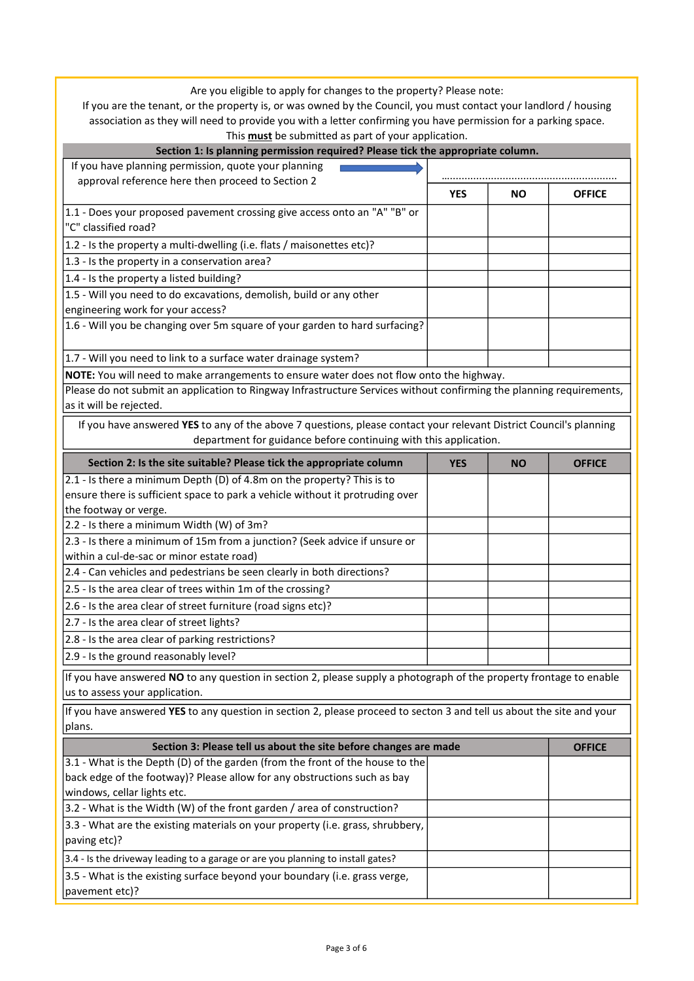Are you eligible to apply for changes to the property? Please note:

If you are the tenant, or the property is, or was owned by the Council, you must contact your landlord / housing association as they will need to provide you with a letter confirming you have permission for a parking space. This must be submitted as part of your application.

| mis <b>mast</b> be submitted as part or your application.<br>Section 1: Is planning permission required? Please tick the appropriate column. |            |           |               |
|----------------------------------------------------------------------------------------------------------------------------------------------|------------|-----------|---------------|
| If you have planning permission, quote your planning                                                                                         |            |           |               |
| approval reference here then proceed to Section 2                                                                                            |            |           |               |
|                                                                                                                                              | <b>YES</b> | NO.       | <b>OFFICE</b> |
| 1.1 - Does your proposed pavement crossing give access onto an "A" "B" or                                                                    |            |           |               |
| "C" classified road?                                                                                                                         |            |           |               |
| 1.2 - Is the property a multi-dwelling (i.e. flats / maisonettes etc)?                                                                       |            |           |               |
| 1.3 - Is the property in a conservation area?                                                                                                |            |           |               |
| 1.4 - Is the property a listed building?                                                                                                     |            |           |               |
| 1.5 - Will you need to do excavations, demolish, build or any other                                                                          |            |           |               |
| engineering work for your access?                                                                                                            |            |           |               |
| 1.6 - Will you be changing over 5m square of your garden to hard surfacing?                                                                  |            |           |               |
| 1.7 - Will you need to link to a surface water drainage system?                                                                              |            |           |               |
| NOTE: You will need to make arrangements to ensure water does not flow onto the highway.                                                     |            |           |               |
| Please do not submit an application to Ringway Infrastructure Services without confirming the planning requirements,                         |            |           |               |
| as it will be rejected.                                                                                                                      |            |           |               |
| If you have answered YES to any of the above 7 questions, please contact your relevant District Council's planning                           |            |           |               |
| department for guidance before continuing with this application.                                                                             |            |           |               |
| Section 2: Is the site suitable? Please tick the appropriate column                                                                          | <b>YES</b> | <b>NO</b> | <b>OFFICE</b> |
| 2.1 - Is there a minimum Depth (D) of 4.8m on the property? This is to                                                                       |            |           |               |
| ensure there is sufficient space to park a vehicle without it protruding over                                                                |            |           |               |
| the footway or verge.                                                                                                                        |            |           |               |
| 2.2 - Is there a minimum Width (W) of 3m?                                                                                                    |            |           |               |
| 2.3 - Is there a minimum of 15m from a junction? (Seek advice if unsure or                                                                   |            |           |               |
| within a cul-de-sac or minor estate road)                                                                                                    |            |           |               |
| 2.4 - Can vehicles and pedestrians be seen clearly in both directions?                                                                       |            |           |               |
| 2.5 - Is the area clear of trees within 1m of the crossing?                                                                                  |            |           |               |
| 2.6 - Is the area clear of street furniture (road signs etc)?                                                                                |            |           |               |
| 2.7 - Is the area clear of street lights?                                                                                                    |            |           |               |
| 2.8 - Is the area clear of parking restrictions?                                                                                             |            |           |               |
| 2.9 - Is the ground reasonably level?                                                                                                        |            |           |               |
| If you have answered NO to any question in section 2, please supply a photograph of the property frontage to enable                          |            |           |               |
| us to assess your application.                                                                                                               |            |           |               |
| If you have answered YES to any question in section 2, please proceed to secton 3 and tell us about the site and your                        |            |           |               |
| plans.                                                                                                                                       |            |           |               |
| Section 3: Please tell us about the site before changes are made                                                                             |            |           | <b>OFFICE</b> |
| 3.1 - What is the Depth (D) of the garden (from the front of the house to the                                                                |            |           |               |
| back edge of the footway)? Please allow for any obstructions such as bay                                                                     |            |           |               |
| windows, cellar lights etc.                                                                                                                  |            |           |               |
| 3.2 - What is the Width (W) of the front garden / area of construction?                                                                      |            |           |               |
| 3.3 - What are the existing materials on your property (i.e. grass, shrubbery,                                                               |            |           |               |
| paving etc)?                                                                                                                                 |            |           |               |

3.4 - Is the driveway leading to a garage or are you planning to install gates?  $|3.5$  - What is the existing surface beyond your boundary (i.e. grass verge, pavement etc)?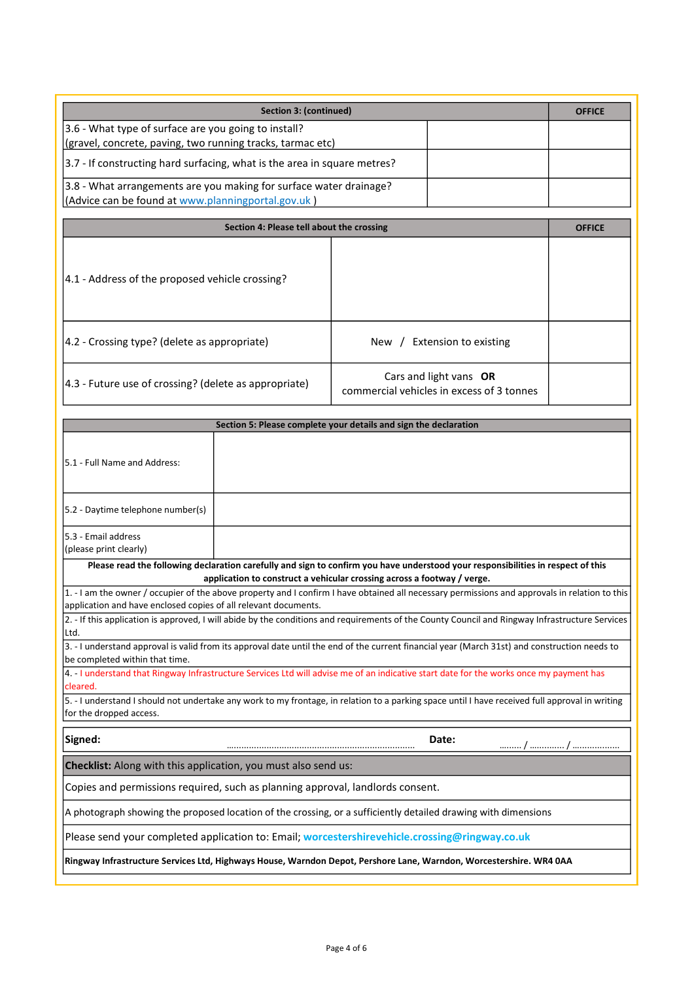| Section 3: (continued)                                                    | <b>OFFICE</b> |
|---------------------------------------------------------------------------|---------------|
| 3.6 - What type of surface are you going to install?                      |               |
| (gravel, concrete, paving, two running tracks, tarmac etc)                |               |
| [3.7 - If constructing hard surfacing, what is the area in square metres? |               |
| [3.8 - What arrangements are you making for surface water drainage?       |               |
| (Advice can be found at www.planningportal.gov.uk)                        |               |

| Section 4: Please tell about the crossing                     |                                                                     | <b>OFFICE</b> |
|---------------------------------------------------------------|---------------------------------------------------------------------|---------------|
| [4.1 - Address of the proposed vehicle crossing?]             |                                                                     |               |
| [4.2 - Crossing type? (delete as appropriate)                 | Extension to existing<br>New /                                      |               |
| $\vert 4.3$ - Future use of crossing? (delete as appropriate) | Cars and light vans OR<br>commercial vehicles in excess of 3 tonnes |               |

| Section 5: Please complete your details and sign the declaration                                                                                                                                                  |                                                                                                                                                 |  |  |
|-------------------------------------------------------------------------------------------------------------------------------------------------------------------------------------------------------------------|-------------------------------------------------------------------------------------------------------------------------------------------------|--|--|
| 5.1 - Full Name and Address:                                                                                                                                                                                      |                                                                                                                                                 |  |  |
| 5.2 - Daytime telephone number(s)                                                                                                                                                                                 |                                                                                                                                                 |  |  |
| l5.3 - Email address<br>(please print clearly)                                                                                                                                                                    |                                                                                                                                                 |  |  |
|                                                                                                                                                                                                                   | Please read the following declaration carefully and sign to confirm you have understood your responsibilities in respect of this                |  |  |
|                                                                                                                                                                                                                   | application to construct a vehicular crossing across a footway / verge.                                                                         |  |  |
| 1. - I am the owner / occupier of the above property and I confirm I have obtained all necessary permissions and approvals in relation to this<br>application and have enclosed copies of all relevant documents. |                                                                                                                                                 |  |  |
| Ltd.                                                                                                                                                                                                              | 2. - If this application is approved, I will abide by the conditions and requirements of the County Council and Ringway Infrastructure Services |  |  |
| 3. - I understand approval is valid from its approval date until the end of the current financial year (March 31st) and construction needs to<br>be completed within that time.                                   |                                                                                                                                                 |  |  |
| 4. - I understand that Ringway Infrastructure Services Ltd will advise me of an indicative start date for the works once my payment has<br>cleared.                                                               |                                                                                                                                                 |  |  |
| for the dropped access.                                                                                                                                                                                           | 5. - I understand I should not undertake any work to my frontage, in relation to a parking space until I have received full approval in writing |  |  |
| Signed:                                                                                                                                                                                                           | Date:                                                                                                                                           |  |  |
| Checklist: Along with this application, you must also send us:                                                                                                                                                    |                                                                                                                                                 |  |  |
| Copies and permissions required, such as planning approval, landlords consent.                                                                                                                                    |                                                                                                                                                 |  |  |
| A photograph showing the proposed location of the crossing, or a sufficiently detailed drawing with dimensions                                                                                                    |                                                                                                                                                 |  |  |
| Please send your completed application to: Email; worcestershirevehicle.crossing@ringway.co.uk                                                                                                                    |                                                                                                                                                 |  |  |
| Ringway Infrastructure Services Ltd, Highways House, Warndon Depot, Pershore Lane, Warndon, Worcestershire. WR4 0AA                                                                                               |                                                                                                                                                 |  |  |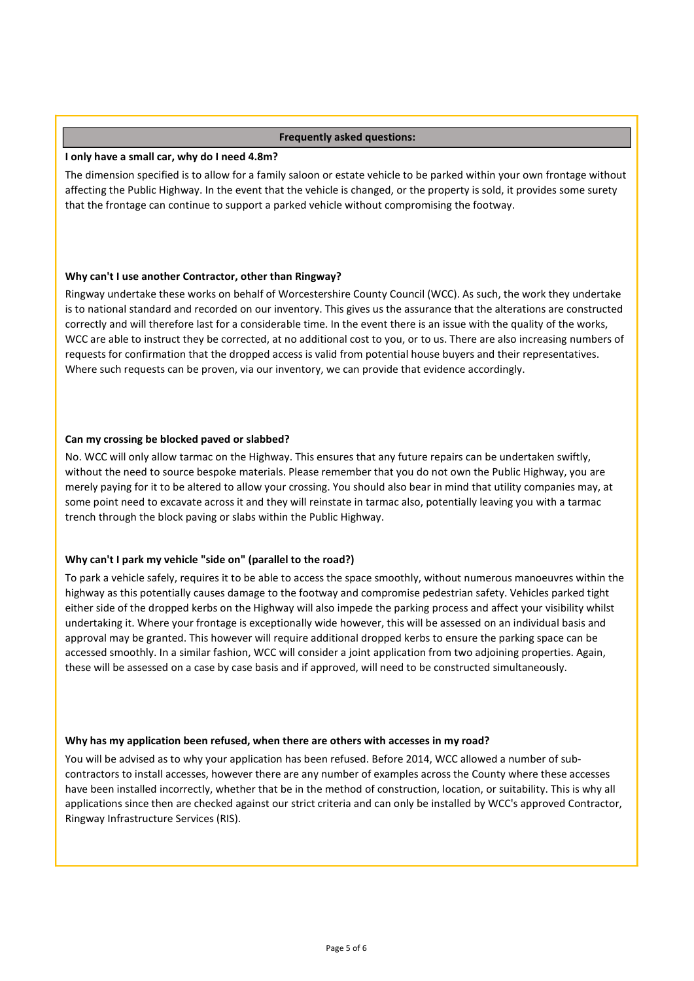# Frequently asked questions:

# I only have a small car, why do I need 4.8m?

The dimension specified is to allow for a family saloon or estate vehicle to be parked within your own frontage without affecting the Public Highway. In the event that the vehicle is changed, or the property is sold, it provides some surety that the frontage can continue to support a parked vehicle without compromising the footway.

# Why can't I use another Contractor, other than Ringway?

Ringway undertake these works on behalf of Worcestershire County Council (WCC). As such, the work they undertake is to national standard and recorded on our inventory. This gives us the assurance that the alterations are constructed correctly and will therefore last for a considerable time. In the event there is an issue with the quality of the works, WCC are able to instruct they be corrected, at no additional cost to you, or to us. There are also increasing numbers of requests for confirmation that the dropped access is valid from potential house buyers and their representatives. Where such requests can be proven, via our inventory, we can provide that evidence accordingly.

# Can my crossing be blocked paved or slabbed?

No. WCC will only allow tarmac on the Highway. This ensures that any future repairs can be undertaken swiftly, without the need to source bespoke materials. Please remember that you do not own the Public Highway, you are merely paying for it to be altered to allow your crossing. You should also bear in mind that utility companies may, at some point need to excavate across it and they will reinstate in tarmac also, potentially leaving you with a tarmac trench through the block paving or slabs within the Public Highway.

# Why can't I park my vehicle "side on" (parallel to the road?)

To park a vehicle safely, requires it to be able to access the space smoothly, without numerous manoeuvres within the highway as this potentially causes damage to the footway and compromise pedestrian safety. Vehicles parked tight either side of the dropped kerbs on the Highway will also impede the parking process and affect your visibility whilst undertaking it. Where your frontage is exceptionally wide however, this will be assessed on an individual basis and approval may be granted. This however will require additional dropped kerbs to ensure the parking space can be accessed smoothly. In a similar fashion, WCC will consider a joint application from two adjoining properties. Again, these will be assessed on a case by case basis and if approved, will need to be constructed simultaneously.

### Why has my application been refused, when there are others with accesses in my road?

You will be advised as to why your application has been refused. Before 2014, WCC allowed a number of subcontractors to install accesses, however there are any number of examples across the County where these accesses have been installed incorrectly, whether that be in the method of construction, location, or suitability. This is why all applications since then are checked against our strict criteria and can only be installed by WCC's approved Contractor, Ringway Infrastructure Services (RIS).